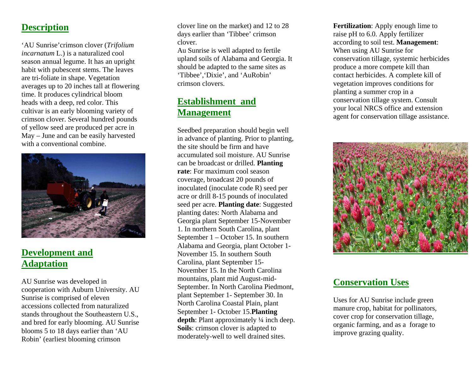### **Description**

'AU Sunrise'crimson clover (*Trifolium incarnatum* L.) is a naturalized cool season annual legume. It has an upright habit with pubescent stems. The leaves are tri-foliate in shape. Vegetation averages up to 20 inches tall at flowering time. It produces cylindrical bloom heads with a deep, red color. This cultivar is an early blooming variety of crimson clover. Several hundred pounds of yellow seed are produced per acre in May – June and can be easily harvested with a conventional combine.



# **Development and Adaptation**

AU Sunrise was developed in cooperation with Auburn University. AU Sunrise is comprised of eleven accessions collected from naturalized stands throughout the Southeastern U.S., and bred for early blooming. AU Sunrise blooms 5 to 18 days earlier than 'AU Robin' (earliest blooming crimson

clover line on the market) and 12 to 28 days earlier than 'Tibbee' crimson clover.

Au Sunrise is well adapted to fertile upland soils of Alaba ma and Georgia. It should be adapted to the sam e sites as 'Tibbee','Dixie', and 'AuRobin' crimson clovers.

# **Establishment and Management**

Seedbed preparation should begin w ell in advance of planting. Prior to planting, the site should be firm and have accumulated soil moisture. AU Sunrise can be broadcast or drilled. **Planting rate**: For maximum cool season coverage, broadcast 20 pounds of inoculated (inoculate code R) seed per acre or drill 8-15 pounds of inoculated seed per acre. **Planting date**: Suggested planting dates: North Alabama and Georgia plant September 15-November 1. In northern South Carolina, plant September 1 – October 15. In southern Alabama and Georgia, plant Octob er 1- November 15. In southern South Carolina, plant September 15- November 15. In the North Carolina mountains, plant mid August-mid-September. In North Carolina Piedmont, plant September 1- September 30. In North Carolina Coastal Plain, plant September 1- October 15.**Planting depth**: Plant approxim ately ¼ inch deep. **Soils**: crimson clover is adapted to moderately-well to well drained sites.

**Fertilization**: Apply enough lime to raise pH to 6.0. Apply fertilizer according to soil test. **Management**: When using AU Sunrise for conservation tillage, systemic herbicides produce a m ore com pete kill than contact herbicides. A complete kill of vegetation improves conditions for planting a summer crop in a conservation tillage system. Consult your local NRCS office and extension agent for conservation tillage assistance.



# **Conservation Uses**

Uses for AU Sunrise include green manure crop, habitat for pollinators, cover crop for conservation tillage, organic farming, and as a forage to improve grazing quality.